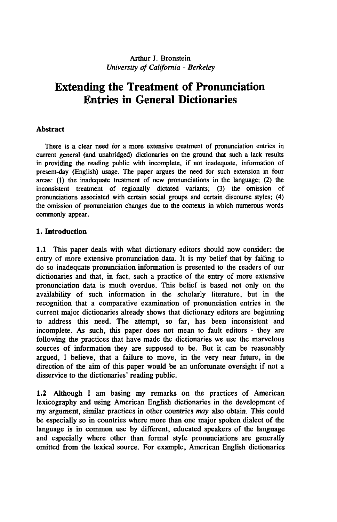## Arthur J. Bronstein *University of California - Berkeley*

# **Extending the Treatment of Pronunciation Entries in General Dictionaries**

## **Abstract**

There is a clear need for a more extensive treatment of pronunciation entries in current general (and unabridged) dictionaries on the ground that such a lack results in providing the reading public with incomplete, if not inadequate, information of present-day (English) usage. The paper argues the need for such extension in four areas: (1) the inadequate treatment of new pronunciations in the language; (2) the inconsistent treatment of regionally dictated variants; (3) the omission of pronunciations associated with certain social groups and certain discourse styles; (4) the omission of pronunciation changes due to the contexts in which numerous words commonly appear.

#### **1. Introduction**

**1.1** This paper deals with what dictionary editors should now consider: the entry of more extensive pronunciation data. It is my belief that by failing to do so inadequate pronunciation information is presented to the readers of our dictionaries and that, in fact, such a practice of the entry of more extensive pronunciation data is much overdue. This belief is based not only on the availability of such information in the scholarly literature, but in the recognition that a comparative examination of pronunciation entries in the current major dictionaries already shows that dictionary editors are beginning to address this need. The attempt, so far, has been inconsistent and incomplete. As such, this paper does not mean to fault editors - they are following the practices that have made the dictionaries we use the marvelous sources of information they are supposed to be. But it can be reasonably argued, I believe, that a failure to move, in the very near future, in the direction of the aim of this paper would be an unfortunate oversight if not a disservice to the dictionaries' reading public.

1.2 Although I am basing my remarks on the practices of American lexicography and using American English dictionaries in the development of my argument, similar practices in other countries *may* also obtain. This could be especially so in countries where more than one major spoken dialect of the language is in common use by different, educated speakers of the language and especially where other than formal style pronunciations are generally omitted from the lexical source. For example, American English dictionaries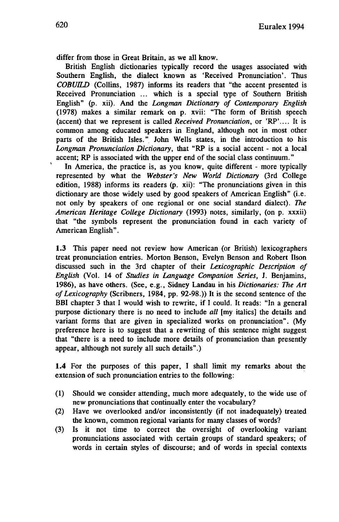differ from those in Great Britain, as we all know.

British English dictionaries typically record the usages associated with Southern English, the dialect known as 'Received Pronunciation'. Thus *COBUILD* (Collins, 1987) informs its readers that "the accent presented is Received Pronunciation ... which is a special type of Southern British English" (p. xii). And the *Longman Dictionary of Contemporary English* (1978) makes a similar remark on p. xvii: "The form of British speech (accent) that we represent is called *Received Pronunciation,* or 'RP'.... It is common among educated speakers in England, although not in most other parts of the British Isles." John Wells states, in the introduction to his *Longman Pronunciation Dictionary,* that "RP is a social accent - not a local accent; RP is associated with the upper end of the social class continuum."

In America, the practice is, as you know, quite different - more typically represented by what the *Webster's New World Dictionary* (3rd College edition, 1988) informs its readers (p. xii): "The pronunciations given in this dictionary are those widely used by good speakers of American English" (i.e. not only by speakers of one regional or one social standard dialect). *The American Heritage College Dictionary* (1993) notes, similarly, (on p. xxxii) that "the symbols represent the pronunciation found in each variety of American English".

1.3 This paper need not review how American (or British) lexicographers treat pronunciation entries. Morton Benson, Evelyn Benson and Robert Ilson discussed such in the 3rd chapter of their *Lexicographic Description of English* (Vol. 14 of *Studies in Language Companion Series,* J. Benjamins, 1986), as have others. (See, e.g., Sidney Landau in his *Dictionaries: The Art ofLexicography* (Scribners, 1984, pp. 92-98.)) It is the second sentence of the BBI chapter 3 that I would wish to rewrite, if I could. It reads: "In a general purpose dictionary there is no need to include *all* [my italics] the details and variant forms that are given in specialized works on pronunciation". (My preference here is to suggest that a rewriting of this sentence might suggest that "there is a need to include more details of pronunciation than presently appear, although not surely all such details".)

1.4 For the purposes of this paper, I shall limit my remarks about the extension of such pronunciation entries to the following:

- (1) Should we consider attending, much more adequately, to the wide use of new pronunciations that continually enter the vocabulary?
- (2) Have we overlooked and/or inconsistently (if not inadequately) treated the known, common regional variants for many classes of words?
- (3) Is it not time to correct the oversight of overlooking variant pronunciations associated with certain groups of standard speakers; of words in certain styles of discourse; and of words in special contexts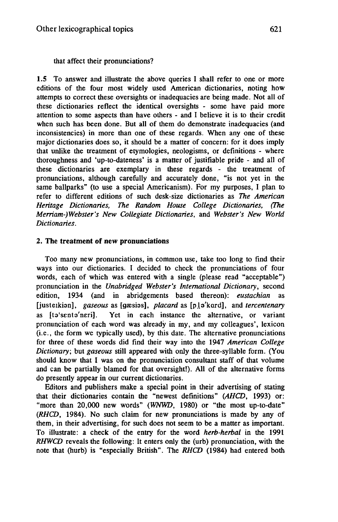that affect their pronunciations?

1.5 To answer and illustrate the above queries I shall refer to one or more editions of the four most widely used American dictionaries, noting how attempts to correct these oversights or inadequacies are being made. Not all of these dictionaries reflect the identical oversights - some have paid more attention to some aspects than have others - and I believe it is to their credit when such has been done. But all of them do demonstrate inadequacies (and inconsistencies) in more than one of these regards. When any one of these major dictionaries does so, it should be a matter of concern: for it does imply that unlike the treatment of etymologies, neologisms, or definitions - where thoroughness and 'up-to-dateness' is a matter of justifiable pride - and all of these dictionaries are exemplary in these regards - the treatment of pronunciations, although carefully and accurately done, "is not yet in the same ballparks" (to use a special Americanism). For my purposes, I plan to refer to different editions of such desk-size dictionaries as *The American Heritage Dictionaries, The Random House College Dictionaries, (The Merriam-)Webster's New Collegiate Dictionaries,* and *Webster's New World Dictionaries.*

#### *2,* **The treatment of new pronunciations**

Too many new pronunciations, in common use, take too long to find their ways into our dictionaries. <sup>I</sup> decided to check the pronunciations of four words, each of which was entered with a single (please read "acceptable") pronunciation in the *Unabridged Webster's International Dictionary,* second edition, 1934 (and in abridgements based thereon): *eustachian* as [justeikian], *gaseous* as [gaesias], *placard* as [pla'kard], and *tercentenary* as [ta'senta'neri]. Yet in each instance the alternative, or variant pronunciation of each word was already in my, and my colleagues', lexicon (i.e., the form we typically used), by this date. The alternative pronunciations for three of these words did find their way into the 1947 *American College Dictionary;* but *gaseous* still appeared with only the three-syllable form. (You should know that I was on the pronunciation consultant staff of that volume and can be partially blamed for that oversight!). All of the alternative forms do presently appear in our current dictionaries.

Editors and publishers make a special point in their advertising of stating that their dictionaries contain the "newest definitions" *(AHCD,* 1993) or: "more than 20,000 new words" *(WNWD,* 1980) or "the most up-to-date" *{RHCD,* 1984). No such claim for new pronunciations is made by any of them, in their advertising, for such does not seem to be a matter as important. To illustrate: a check of the entry for the word *herb-herbal* in the 1991 *RHWCD* reveals the following: It enters only the (urb) pronunciation, with the note that (hurb) is "especially British". The *RHCD* (1984) had entered both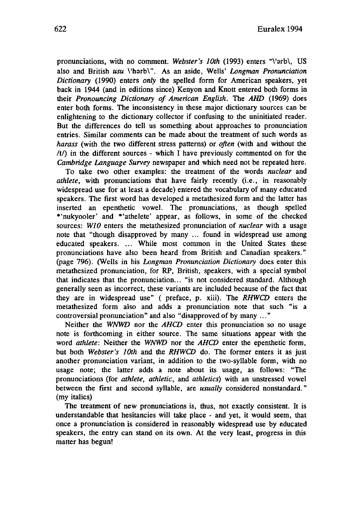pronunciations, with no comment. *Webster's 10th* (1993) enters "\'arb\, US also and British *usu VharbV*<sup>7</sup>. As an aside, Wells' *Longman Pronunciation Dictionary* (1990) enters *only* the spelled form for American speakers, yet back in 1944 (and in editions since) Kenyon and Knott entered both forms in their *Pronouncing Dictionary of American English.* The *AHD* (1969) does enter both forms. The inconsistency in these major dictionary sources can be enlightening to the dictionary collector if confusing to the uninitiated reader. But the differences do tell us something about approaches to pronunciation entries. Similar comments can be made about the treatment of such words as *harass* (with the two different stress patterns) or *often* (with and without the *HI)* in the different sources - which I have previously commented on for the *Cambridge Language Survey* newspaper and which need not be repeated here.

To take two other examples: the treatment of the words *nuclear* and *athlete,* with pronunciations that have fairly recently (i.e., in reasonably widespread use for at least a decade) entered the vocabulary of many educated speakers. The first word has developed a metathesized form and the latter has inserted an epenthetic vowel. The pronunciations, as though spelled \*'nukyooler' and \*'athelete' appear, as follows, in some of the checked sources: *W10* enters the metathesized pronunciation of *nuclear* with a usage note that "though disapproved by many ... found in widespread use among educated speakers. ... While most common in the United States these pronunciations have also been heard from British and Canadian speakers." (page 796). (Wells in his *Longman Pronunciation Dictionary* does enter this metathesized pronunciation, for RP, British, speakers, with a special symbol that indicates that the pronunciation... "is not considered standard. Although generally seen as incorrect, these variants are included because of the fact that they are in widespread use" ( preface, p. xiii). The *RHWCD* enters the metathesized form also and adds a pronunciation note that such "is a controversial pronunciation" and also "disapproved of by many ..."

Neither the *WNWD* nor the *AHCD* enter this pronunciation so no usage note is forthcoming in either source. The same situations appear with the word *athlete:* Neither the *WNWD* nor the *AHCD* enter the epenthetic form, but both *Webster's 10th* and the *RHWCD* do. The former enters it as just another pronunciation variant, in addition to the two-syllable form, with no usage note; the latter adds a note about its usage, as follows: "The pronunciations (for *athlete, athletic,* and *athletics)* with an unstressed vowel between the first and second syllable, are *usually* considered nonstandard." (my italics)

The treatment of new pronunciations is, thus, not exactly consistent. It is understandable that hesitancies will take place - and yet, it would seem, that once a pronunciation is considered in reasonably widespread use by educated speakers, the entry can stand on its own. At the very least, progress in this matter has begun!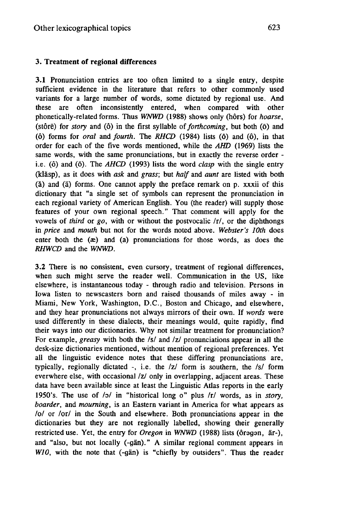# 3. Treatment of regional differences

3.1 Pronunciation entries are too often limited to a single entry, despite sufficient evidence in the literature that refers to other commonly used variants for a large number of words, some dictated by regional use. And these are often inconsistendy entered, when compared with other phonetically-related forms. Thus *WNWD* (1988) shows only (hôrs) for *hoarse*, (store) for *story* and (Ô) in the first syllable of*forthcoming,* but both (ö) and (Ô) forms for *oral* and *fourth.* The *RHCD* (1984) lists (Ö) and (Ô), in that order for each of the five words mentioned, while the *AHD* (1969) lists the same words, with the same pronunciations, but in exactly the reverse order i.e. (ô) and (Ö). The *AHCD* (1993) lists the word *clasp* with the single entry (kläsp), as it does with *ask* and *grass;* but *half* and *aunt* are listed with both (ä) and (ä) forms. One cannot apply the preface remark on p. xxxii of this dictionary that "a single set of symbols can represent the pronunciation in each regional variety of American English. You (the reader) will supply those features of your own regional speech." That comment will apply for the vowels of *third* or *go,* with or without the postvocalic *ITI,* or the diphthongs in *price* and *mouth* but not for the words noted above. *Webster's 10th* does enter both the  $(a)$  and  $(a)$  pronunciations for those words, as does the *RHWCD* and the *WNWD.*

3.2 There is no consistent, even cursory, treatment of regional differences, when such might serve the reader well. Communication in the US, like elsewhere, is instantaneous today - through radio and television. Persons in Iowa listen to newscasters born and raised thousands of miles away - in Miami, New York, Washington, D.C., Boston and Chicago, and elsewhere, and they hear pronunciations not always mirrors of their own. If *words* were used differently in these dialects, their meanings would, quite rapidly, find their ways into our dictionaries. Why not similar treatment for pronunciation? For example, *greasy* with both the /s/ and /z/ pronunciations appear in all the desk-size dictionaries mentioned, without mention of regional preferences. Yet all the linguistic evidence notes that these differing pronunciations are, typically, regionally dictated -, i.e. the /z/ form is southern, the /s/ form everwhere else, with occasional /z/ only in overlapping, adjacent areas. These data have been available since at least the Linguistic Atlas reports in the early 1950's. The use of *hi* in "historical long o" plus *III* words, as in *story, boarder,* and *mourning,* is an Eastern variant in America for what appears as *loi* or /or/ in the South and elsewhere. Both pronunciations appear in the dictionaries but they are not regionally labelled, showing their generally restricted use. Yet, the entry for *Oregon* in *WNWD* (1988) lists (ôragan, är-), and "also, but not locally (-gän)." A similar regional comment appears in *W10*, with the note that (-gän) is "chiefly by outsiders". Thus the reader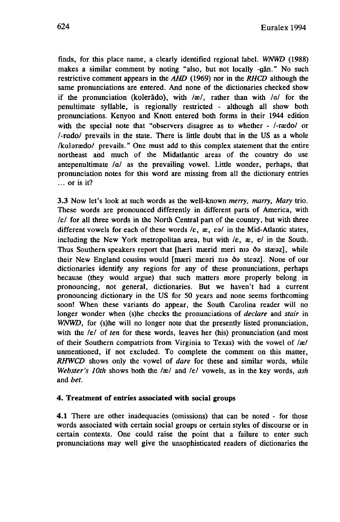finds, for this place name, a clearly identified regional label. *WNWD* (1988) makes a similar comment by noting "also, but not locally -gän." No such restrictive comment appears in the *AHD* (1969) nor in the *RHCD* although the same pronunciations are entered. And none of the dictionaries checked show if the pronunciation (kolerădo), with  $\alpha$ , rather than with  $\alpha$  for the penultimate syllable, is regionally restricted - although all show both pronunciations. Kenyon and Knott entered both forms in their 1944 edition with the special note that "observers disagree as to whether - /-raedo/ or /-rado/ prevails in the state. There is little doubt that in the US as a whole /kalaraedo/ prevails." One must add to this complex statement that the entire northeast and much of the Midatlantic areas of the country do use antepenultimate /a/ as the prevailing vowel. Little wonder, perhaps, that pronunciation notes for this word are missing from all the dictionary entries ... or is it?

3.3 Now let's look at such words as the well-known *merry, marry, Mary* trio. These words are pronounced differently in different parts of America, with  $/c$  for all three words in the North Central part of the country, but with three different vowels for each of these words  $\ell$ ,  $\mathbf{c}$ ,  $\mathbf{c}$ ,  $\epsilon$  in the Mid-Atlantic states, including the New York metropolitan area, but with  $\ell$ ,  $\infty$ ,  $\infty$ ,  $\ell$  in the South. Thus Southern speakers report that [hæri mærid meri nia ða stæaz], while their New England cousins would [maeri meari nia öa steaz]. None of our dictionaries identify any regions for any of these pronunciations, perhaps because (they would argue) that such matters more properly belong in pronouncing, not general, dictionaries. But we haven't had a current pronouncing dictionary in the US for 50 years and none seems forthcoming soon! When these variants do appear, the South Carolina reader will no longer wonder when (s)he checks the pronunciations of *declare* and *stair* in *WNWD,* for (s)he will no longer note that the presently listed pronunciation, with the /c/ of *ten* for these words, leaves her (his) pronunciation (and most of their Southern compatriots from Virginia to Texas) with the vowel of  $\alpha$ / unmentioned, if not excluded. To complete the comment on this matter, *RHWCD* shows only the vowel of *dare* for these and similar words, while *Webster's 10th* shows both the /æ/ and / $\varepsilon$ / vowels, as in the key words, *ash* and *bet.*

## 4. Treatment of entries associated with social groups

4.1 There are other inadequacies (omissions) that can be noted - for those words associated with certain social groups or certain styles of discourse or in certain contexts. One could raise the point that a failure to enter such pronunciations may well give the unsophisticated readers of dictionaries the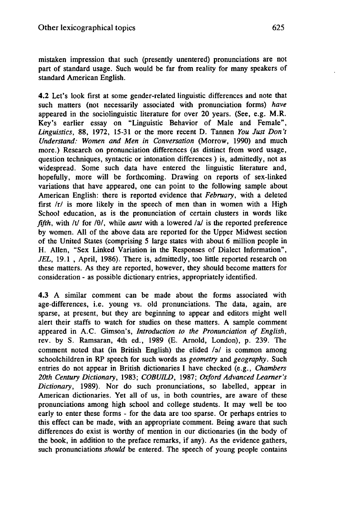mistaken impression that such (presently unentered) pronunciations are not part of standard usage. Such would be far from reality for many speakers of standard American English.

4.2 Let's look first at some gender-related linguistic differences and note that such matters (not necessarily associated with pronunciation forms) *have* appeared in the sociolinguistic literature for over 20 years. (See, e.g. M.R. Key's earlier essay on "Linguistic Behavior of Male and Female", *Linguistics,* 88, 1972, 15-31 or the more recent D. Tannen *You Just Don't Understand: Women and Men in Conversation* (Morrow, 1990) and much more.) Research on pronunciation differences (as distinct from word usage, question techniques, syntactic or intonation differences ) is, admittedly, not as widespread. Some such data have entered the linguistic literature and, hopefully, more will be forthcoming. Drawing on reports of sex-linked variations that have appeared, one can point to the following sample about American English: there is reported evidence that *February,* with a deleted first /r/ is more likely in the speech of men than in women with a High School education, as is the pronunciation of certain clusters in words like *fifth,* with /t/ for /8/, while *aunt* with a lowered /a/ is the reported preference by women. All of the above data are reported for the Upper Midwest section of the United States (comprising 5 large states with about 6 million people in H. Allen, "Sex Linked Variation in the Responses of Dialect Information", *JEL,* 19.1 , April, 1986). There is, admittedly, too little reported research on these matters. As they are reported, however, they should become matters for consideration - as possible dictionary entries, appropriately identified.

4.3 A similar comment can be made about the forms associated with age-differences, i.e. young vs. old pronunciations. The data, again, are sparse, at present, but they are beginning to appear and editors might well alert their staffs to watch for studies on these matters. A sample comment appeared in A.C. Gimson's, *Introduction to the Pronunciation of English,* rev. by S. Ramsaran, 4th ed., 1989 (E. Arnold, London), p. 239. The comment noted that (in British English) the elided /ə/ is common among schoolchildren in RP speech for such words as *geometry* and *geography.* Such entries do not appear in British dictionaries I have checked (e.g., *Chambers 20th Century Dictionary,* 1983; *COBUILD,* 1987; *Oxford Advanced Learner's Dictionary,* 1989). Nor do such pronunciations, so labelled, appear in American dictionaries. Yet all of us, in both countries, are aware of these pronunciations among high school and college students. It may well be too early to enter these forms - for the data are too sparse. Or perhaps entries to this effect can be made, with an appropriate comment. Being aware that such differences do exist is worthy of mention in our dictionaries (in the body of the book, in addition to the preface remarks, if any). As the evidence gathers, such pronunciations *should* be entered. The speech of young people contains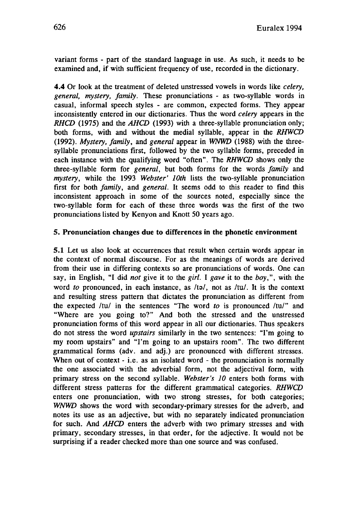variant forms - part of the standard language in use. As such, it needs to be examined and, if with sufficient frequency of use, recorded in the dictionary.

4.4 Or look at the treatment of deleted unstressed vowels in words like *celery, general, mystery, family.* These pronunciations - as two-syllable words in casual, informal speech styles - are common, expected forms. They appear inconsistently entered in our dictionaries. Thus the word *celery* appears in the *RHCD* (1975) and the *AHCD* (1993) with a three-syllable pronunciation only; both forms, with and without the medial syllable, appear in the *RHWCD* (1992). *Mystery, family,* and *general* appear in *WNWD* (1988) with the threesyllable pronunciations first, followed by the two syllable forms, preceded in each instance with the qualifying word "often". The *RHWCD* shows only the three-syllable form for *general,* but both forms for the words *family* and *mystery,* while the 1993 *Webster' 10th* lists the two-syllable pronunciation first for both *family,* and *general.* It seems odd to this reader to find this inconsistent approach in some of the sources noted, especially since the two-syllable form for each of these three words was the first of the two pronunciations listed by Kenyon and Knott 50 years ago.

## **5. Pronunciation changes due to differences in the phonetic environment**

**5.1** Let us also look at occurrences that result when certain words appear in the context of normal discourse. For as the meanings of words are derived from their use in differing contexts so are pronunciations of words. One can say, in English, "I did *not* give it to the *girl.* I *gave* it to the *boy,",* with the word *to* pronounced, in each instance, as /ta/, not as /tu/. It is the context and resulting stress pattern that dictates the pronunciation as different from the expected /tu/ in the sentences "The word *to* is pronounced /tu/" and "Where are you going to?" And both the stressed and the unstressed pronunciation forms of this word appear in all our dictionaries. Thus speakers do not stress the word *upstairs* similarly in the two sentences: "I'm going to my room upstairs" and "I'm going to an upstairs room". The two different grammatical forms (adv. and adj.) are pronounced with different stresses. When out of context - i.e. as an isolated word - the pronunciation is normally the one associated with the adverbial form, not the adjectival form, with primary stress on the second syllable. *Webster's 10* enters both forms with different stress patterns for the different grammatical categories. *RHWCD* enters one pronunciation, with two strong stresses, for both categories; *WNWD* shows the word with secondary-primary stresses for the adverb, and notes its use as an adjective, but with no separately indicated pronunciation for such. And *AHCD* enters the adverb with two primary stresses and with primary, secondary stresses, in that order, for the adjective. It would not be surprising if a reader checked more than one source and was confused.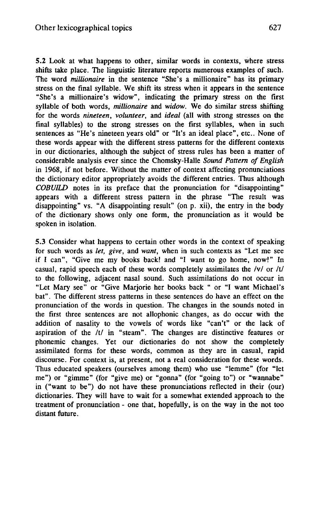5.2 Look at what happens to other, similar words in contexts, where stress shifts take place. The linguistic literature reports numerous examples of such. The word *millionaire* in the sentence "She's a millionaire" has its primary stress on the final syllable. We shift its stress when it appears in the sentence "She's a millionaire's widow", indicating the primary stress on the first syllable of both words, *millionaire* and *widow.* We do similar stress shifting for the words *nineteen, volunteer,* and *ideal* (all with strong stresses on the final syllables) to the strong stresses on the first syllables, when in such sentences as "He's nineteen years old" or "It's an ideal place", etc.. None of these words appear with the different stress patterns for the different contexts in our dictionaries, although the subject of stress rules has been a matter of considerable analysis ever since the Chomsky-Halle *Sound Pattern of English* in 1968, if not before. Without the matter of context affecting pronunciations the dictionary editor appropriately avoids the different entries. Thus although *COBUILD* notes in its preface that the pronunciation for "disappointing" appears with a different stress pattern in the phrase "The result was disappointing" vs. "A disappointing result" (on p. xii), the entry in the body of the dictionary shows only one form, the pronunciation as it would be spoken in isolation.

5.3 Consider what happens to certain other words in the context of speaking for such words as *let, give,* and *want,* when in such contexts as "Let me see if I can", "Give me my books back! and "I want to go home, now!" In casual, rapid speech each of these words completely assimilates the  $\sqrt{v}$  or  $\sqrt{t}$ to the following, adjacent nasal sound. Such assimilations do not occur in "Let Mary see" or "Give Marjorie her books back " or "I want Michael's bat". The different stress patterns in these sentences do have an effect on the pronunciation of the words in question. The changes in the sounds noted in the first three sentences are not allophonic changes, as do occur with the addition of nasality to the vowels of words like "can't" or the lack of aspiration of the /t/ in "steam". The changes are distinctive features or phonemic changes. Yet our dictionaries do not show the completely assimilated forms for these words, common as they are in casual, rapid discourse. For context is, at present, not a real consideration for these words. Thus educated speakers (ourselves among them) who use "lemme" (for "let me") or "gimme" (for "give me) or "gonna" (for "going to") or "wannabe" in ("want to be") do not have these pronunciations reflected in their (our) dictionaries. They will have to wait for a somewhat extended approach to the treatment of pronunciation - one that, hopefully, is on the way in the not too distant future.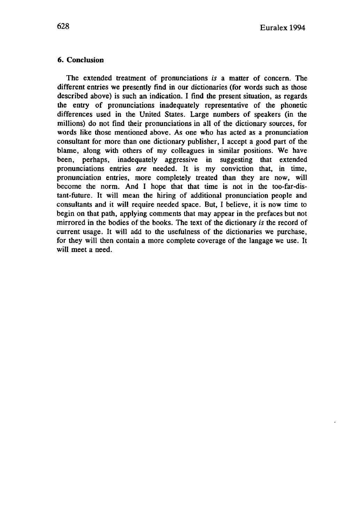## **6. Conclusion**

The extended treatment of pronunciations *is* a matter of concern. The different entries we presently find in our dictionaries (for words such as those described above) is such an indication. I find the present situation, as regards the entry of pronunciations inadequately representative of the phonetic differences used in the United States. Large numbers of speakers (in the millions) do not find their pronunciations in all of the dictionary sources, for words like those mentioned above. As one who has acted as a pronunciation consultant for more than one dictionary publisher, I accept a good part of the blame, along with others of my colleagues in similar positions. We have been, perhaps, inadequately aggressive in suggesting that extended pronunciations entries *are* needed. It is my conviction that, in time, pronunciation entries, more completely treated than they are now, will become the norm. And I hope that that time is not in the too-far-distant-future. It will mean the hiring of additional pronunciation people and consultants and it will require needed space. But, I believe, it is now time to begin on that path, applying comments that may appear in the prefaces but not mirrored in the bodies of the books. The text of the dictionary *is* the record of current usage. It will add to the usefulness of the dictionaries we purchase, for they will then contain a more complete coverage of the langage we use. It will meet a need.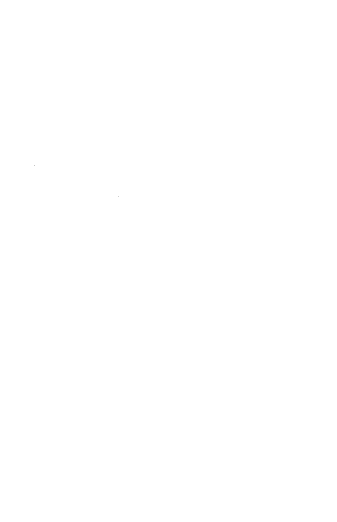$\label{eq:2.1} \frac{1}{\sqrt{2}}\int_{\mathbb{R}^3}\frac{1}{\sqrt{2}}\left(\frac{1}{\sqrt{2}}\right)^2\frac{1}{\sqrt{2}}\left(\frac{1}{\sqrt{2}}\right)^2\frac{1}{\sqrt{2}}\left(\frac{1}{\sqrt{2}}\right)^2.$  $\label{eq:2.1} \frac{1}{\sqrt{2}}\sum_{i=1}^n\frac{1}{\sqrt{2}}\sum_{j=1}^n\frac{1}{\sqrt{2}}\sum_{j=1}^n\frac{1}{\sqrt{2}}\sum_{j=1}^n\frac{1}{\sqrt{2}}\sum_{j=1}^n\frac{1}{\sqrt{2}}\sum_{j=1}^n\frac{1}{\sqrt{2}}\sum_{j=1}^n\frac{1}{\sqrt{2}}\sum_{j=1}^n\frac{1}{\sqrt{2}}\sum_{j=1}^n\frac{1}{\sqrt{2}}\sum_{j=1}^n\frac{1}{\sqrt{2}}\sum_{j=1}^n\frac$  $\mathcal{L}(\mathcal{L}^{\mathcal{L}})$  and  $\mathcal{L}^{\mathcal{L}}$  . The set of  $\mathcal{L}^{\mathcal{L}}$